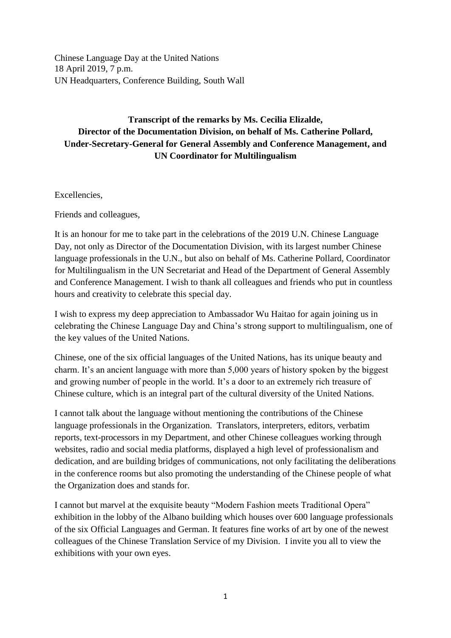Chinese Language Day at the United Nations 18 April 2019, 7 p.m. UN Headquarters, Conference Building, South Wall

## **Transcript of the remarks by Ms. Cecilia Elizalde, Director of the Documentation Division, on behalf of Ms. Catherine Pollard, Under-Secretary-General for General Assembly and Conference Management, and UN Coordinator for Multilingualism**

Excellencies,

Friends and colleagues,

It is an honour for me to take part in the celebrations of the 2019 U.N. Chinese Language Day, not only as Director of the Documentation Division, with its largest number Chinese language professionals in the U.N., but also on behalf of Ms. Catherine Pollard, Coordinator for Multilingualism in the UN Secretariat and Head of the Department of General Assembly and Conference Management. I wish to thank all colleagues and friends who put in countless hours and creativity to celebrate this special day.

I wish to express my deep appreciation to Ambassador Wu Haitao for again joining us in celebrating the Chinese Language Day and China's strong support to multilingualism, one of the key values of the United Nations.

Chinese, one of the six official languages of the United Nations, has its unique beauty and charm. It's an ancient language with more than 5,000 years of history spoken by the biggest and growing number of people in the world. It's a door to an extremely rich treasure of Chinese culture, which is an integral part of the cultural diversity of the United Nations.

I cannot talk about the language without mentioning the contributions of the Chinese language professionals in the Organization. Translators, interpreters, editors, verbatim reports, text-processors in my Department, and other Chinese colleagues working through websites, radio and social media platforms, displayed a high level of professionalism and dedication, and are building bridges of communications, not only facilitating the deliberations in the conference rooms but also promoting the understanding of the Chinese people of what the Organization does and stands for.

I cannot but marvel at the exquisite beauty "Modern Fashion meets Traditional Opera" exhibition in the lobby of the Albano building which houses over 600 language professionals of the six Official Languages and German. It features fine works of art by one of the newest colleagues of the Chinese Translation Service of my Division. I invite you all to view the exhibitions with your own eyes.